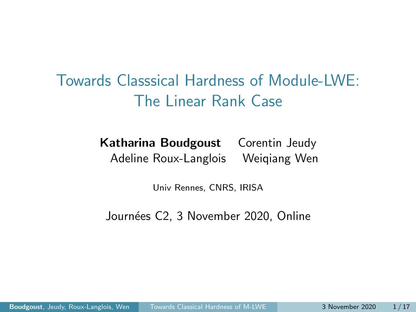<span id="page-0-0"></span>Towards Classsical Hardness of Module-LWE: The Linear Rank Case

> Katharina Boudgoust Corentin Jeudy Adeline Roux-Langlois Weiqiang Wen

> > Univ Rennes, CNRS, IRISA

Journées C2, 3 November 2020, Online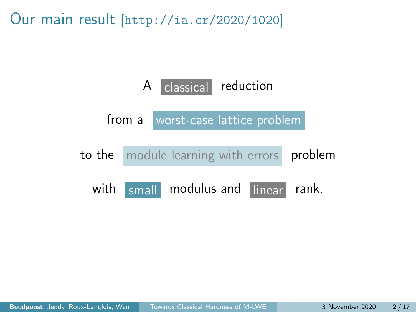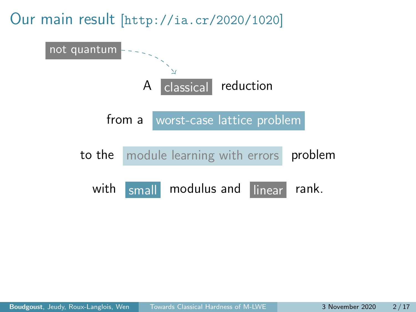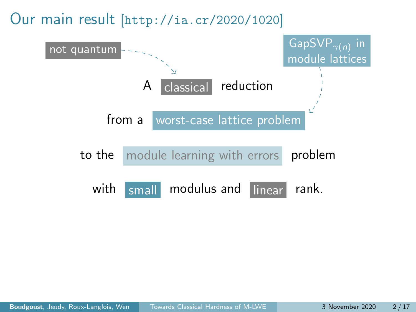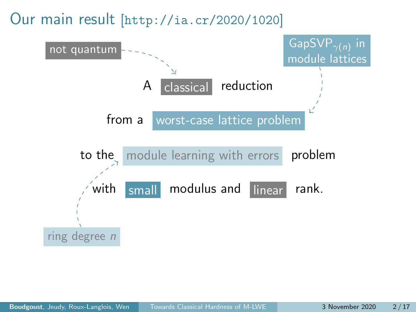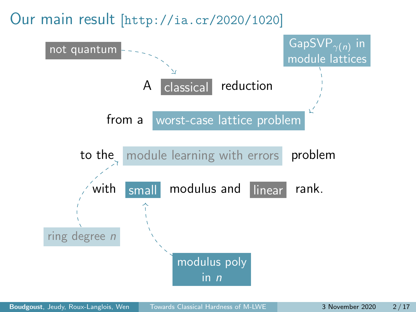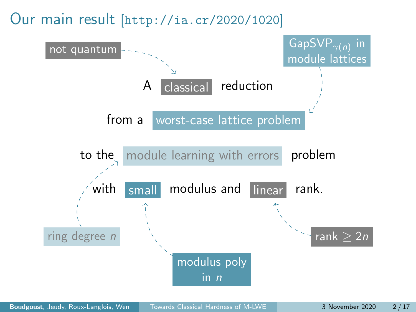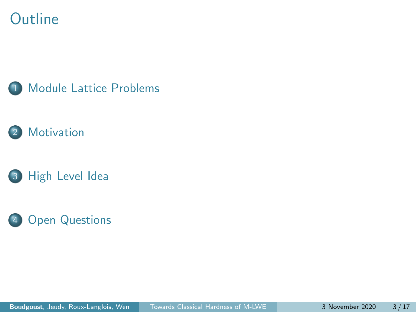#### **Outline**







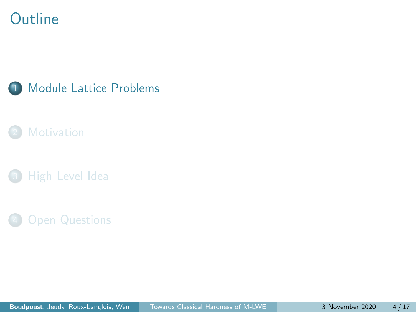#### <span id="page-8-0"></span>**Outline**



#### **[Motivation](#page-22-0)**

**[High Level Idea](#page-30-0)** 

#### **[Open Questions](#page-35-0)**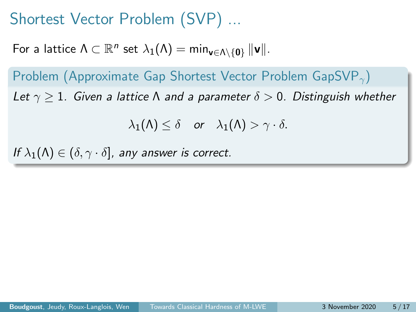For a lattice  $\Lambda \subset \mathbb{R}^n$  set  $\lambda_1(\Lambda) = \min_{\mathbf{v} \in \Lambda \setminus \{\mathbf{0}\}} \|\mathbf{v}\|.$ 

Problem (Approximate Gap Shortest Vector Problem GapSVP<sub> $\gamma$ </sub>) Let  $\gamma > 1$ . Given a lattice N and a parameter  $\delta > 0$ . Distinguish whether

 $\lambda_1(\Lambda) \leq \delta$  or  $\lambda_1(\Lambda) > \gamma \cdot \delta$ .

If  $\lambda_1(\Lambda) \in (\delta, \gamma \cdot \delta]$ , any answer is correct.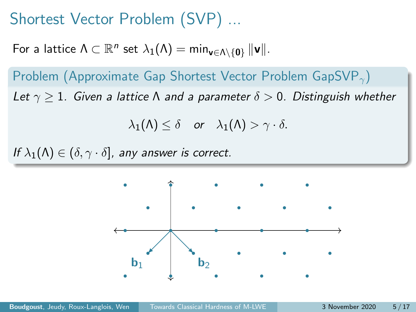For a lattice  $\Lambda \subset \mathbb{R}^n$  set  $\lambda_1(\Lambda) = \min_{\mathbf{v} \in \Lambda \setminus \{\mathbf{0}\}} \|\mathbf{v}\|.$ 

Problem (Approximate Gap Shortest Vector Problem GapSVP<sub> $\gamma$ </sub>) Let  $\gamma \geq 1$ . Given a lattice  $\Lambda$  and a parameter  $\delta > 0$ . Distinguish whether

$$
\lambda_1(\Lambda) \leq \delta \quad \text{or} \quad \lambda_1(\Lambda) > \gamma \cdot \delta.
$$

If  $\lambda_1(\Lambda) \in (\delta, \gamma \cdot \delta]$ , any answer is correct.

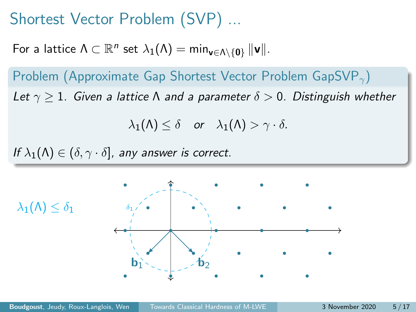For a lattice  $\Lambda \subset \mathbb{R}^n$  set  $\lambda_1(\Lambda) = \min_{\mathbf{v} \in \Lambda \setminus \{\mathbf{0}\}} \|\mathbf{v}\|.$ 

Problem (Approximate Gap Shortest Vector Problem GapSVP<sub> $\gamma$ </sub>) Let  $\gamma \geq 1$ . Given a lattice  $\Lambda$  and a parameter  $\delta > 0$ . Distinguish whether

$$
\lambda_1(\Lambda) \leq \delta \quad \text{or} \quad \lambda_1(\Lambda) > \gamma \cdot \delta.
$$

If  $\lambda_1(\Lambda) \in (\delta, \gamma \cdot \delta]$ , any answer is correct.

 $\lambda_1(\Lambda) < \delta_1$ 

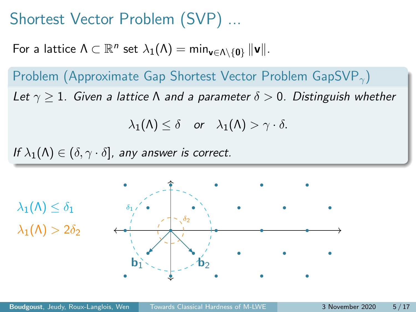For a lattice  $\Lambda \subset \mathbb{R}^n$  set  $\lambda_1(\Lambda) = \min_{\mathbf{v} \in \Lambda \setminus \{\mathbf{0}\}} \|\mathbf{v}\|.$ 

Problem (Approximate Gap Shortest Vector Problem GapSVP<sub> $\gamma$ </sub>) Let  $\gamma \geq 1$ . Given a lattice  $\Lambda$  and a parameter  $\delta > 0$ . Distinguish whether

$$
\lambda_1(\Lambda) \leq \delta \quad \text{or} \quad \lambda_1(\Lambda) > \gamma \cdot \delta.
$$

If  $\lambda_1(\Lambda) \in (\delta, \gamma \cdot \delta]$ , any answer is correct.

 $\lambda_1(\Lambda) \leq \delta_1$  $\lambda_1(\Lambda) > 2\delta_2$ 

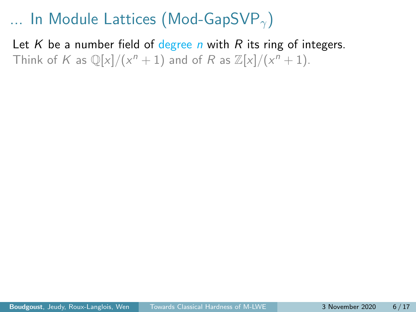Let K be a number field of degree n with R its ring of integers. Think of K as  $\mathbb{Q}[x]/(x^n + 1)$  and of R as  $\mathbb{Z}[x]/(x^n + 1)$ .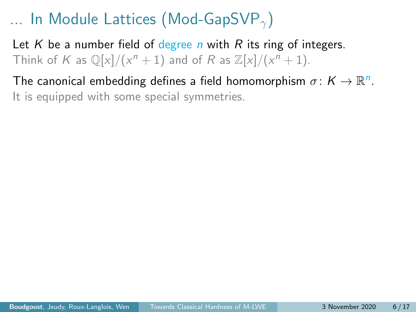Let K be a number field of degree n with R its ring of integers. Think of K as  $\mathbb{Q}[x]/(x^n + 1)$  and of R as  $\mathbb{Z}[x]/(x^n + 1)$ .

The canonical embedding defines a field homomorphism  $\sigma \colon K \to \mathbb{R}^n$ . It is equipped with some special symmetries.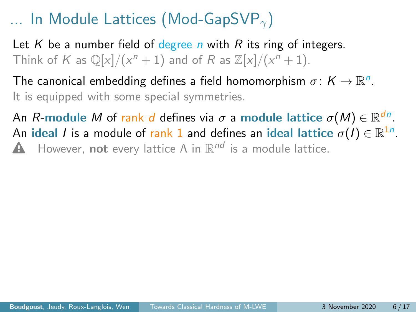Let K be a number field of degree n with R its ring of integers. Think of K as  $\mathbb{Q}[x]/(x^n + 1)$  and of R as  $\mathbb{Z}[x]/(x^n + 1)$ .

The canonical embedding defines a field homomorphism  $\sigma \colon K \to \mathbb{R}^n$ . It is equipped with some special symmetries.

An  $R\text{-module }M$  of  $\mathsf{rank}\; d$  defines via  $\sigma$  a module lattice  $\sigma(M)\in\mathbb{R}^{dn}.$ An ideal  $I$  is a module of  $\mathsf{rank} \ 1$  and defines an ideal lattice  $\sigma(I) \in \mathbb{R}^{1n}$ . **A** However, not every lattice  $\Lambda$  in  $\mathbb{R}^{nd}$  is a module lattice.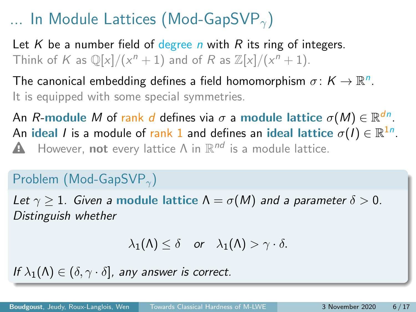Let K be a number field of degree n with R its ring of integers. Think of K as  $\mathbb{Q}[x]/(x^n + 1)$  and of R as  $\mathbb{Z}[x]/(x^n + 1)$ .

The canonical embedding defines a field homomorphism  $\sigma \colon K \to \mathbb{R}^n$ . It is equipped with some special symmetries.

An  $R\text{-module }M$  of  $\mathsf{rank}\; d$  defines via  $\sigma$  a module lattice  $\sigma(M)\in\mathbb{R}^{dn}.$ An ideal  $I$  is a module of  $\mathsf{rank} \ 1$  and defines an ideal lattice  $\sigma(I) \in \mathbb{R}^{1n}$ . **A** However, not every lattice  $\Lambda$  in  $\mathbb{R}^{nd}$  is a module lattice.

#### Problem (Mod-GapSVP<sub> $\gamma$ </sub>)

Let  $\gamma > 1$ . Given a module lattice  $\Lambda = \sigma(M)$  and a parameter  $\delta > 0$ . Distinguish whether

$$
\lambda_1(\Lambda) \leq \delta \quad \text{or} \quad \lambda_1(\Lambda) > \gamma \cdot \delta.
$$

If  $\lambda_1(\Lambda) \in (\delta, \gamma \cdot \delta]$ , any answer is correct.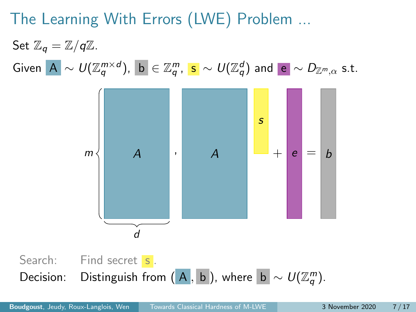# The Learning With Errors (LWE) Problem ...

Set  $\mathbb{Z}_q = \mathbb{Z}/q\mathbb{Z}$ .  $\mathsf{Given}\,\,\big|\mathsf{A}\big|\sim \mathsf{U}(\mathbb{Z}_q^{m\times d}),\,\,\big|\mathsf{b}\big|\in\mathbb{Z}_q^m,\,\,\mathsf{s}\,\sim \mathsf{U}(\mathbb{Z}_q^d)\,\,\mathsf{and}\,\,\big|\mathsf{e}\big|\sim \mathsf{D}_{\mathbb{Z}^m,\alpha}\,\,\mathsf{s.t.}$ 



Decision: Distinguish from  $(\overline{A}, \overline{b})$ , where  $\overline{b} \sim U(\mathbb{Z}_q^m)$ .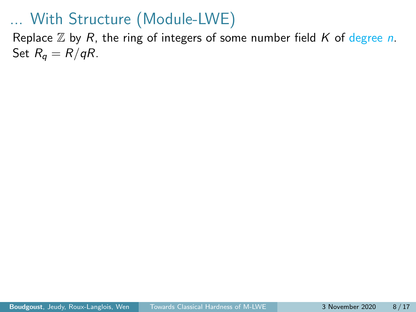Replace  $\mathbb Z$  by R, the ring of integers of some number field K of degree n. Set  $R_q = R/qR$ .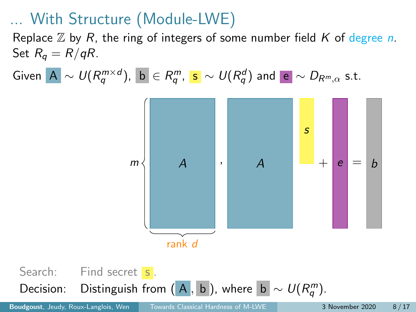Replace  $\mathbb Z$  by R, the ring of integers of some number field K of degree n. Set  $R_q = R/qR$ .

Given  $|{\mathbf A}| \sim \mathit{U} (R_q^{m \times d})$ ,  $|{\mathbf b}| \in R_q^m$ ,  $|{\mathbf s}| \sim \mathit{U} (R_q^d)$  and  $|{\mathbf e}| \sim D_{R^m, \alpha}$  s.t.



Search: Find secret s. Decision: Distinguish from  $(A, b)$ , where  $|b| \sim U(R_q^m)$ .

Boudgoust, Jeudy, Roux-Langlois, Wen [Towards Classical Hardness of M-LWE](#page-0-0) 3 November 2020 8/17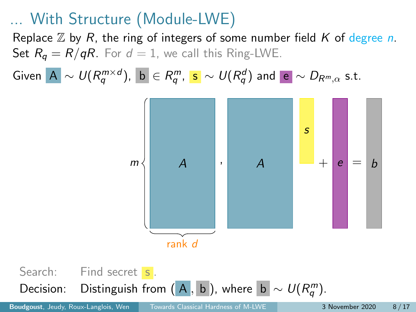Replace  $\mathbb Z$  by R, the ring of integers of some number field K of degree n. Set  $R_q = R/qR$ . For  $d = 1$ , we call this Ring-LWE.

Given  $|{\mathbf A}| \sim \mathit{U} (R_q^{m \times d})$ ,  $|{\mathbf b}| \in R_q^m$ ,  $|{\mathbf s}| \sim \mathit{U} (R_q^d)$  and  $|{\mathbf e}| \sim D_{R^m, \alpha}$  s.t.



Search: Find secret s. Decision: Distinguish from  $(\overline{A}, \overline{b})$ , where  $\overline{b} \sim U(R_q^m)$ .

Boudgoust, Jeudy, Roux-Langlois, Wen [Towards Classical Hardness of M-LWE](#page-0-0) 3 November 2020 8/17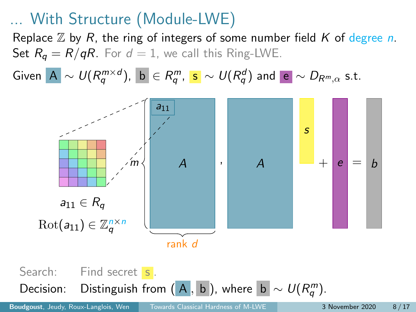Replace  $\mathbb Z$  by R, the ring of integers of some number field K of degree n. Set  $R_q = R/qR$ . For  $d = 1$ , we call this Ring-LWE.

Given  $|{\mathbf A}| \sim \mathit{U} (R_q^{m \times d})$ ,  $|{\mathbf b}| \in R_q^m$ ,  $|{\mathbf s}| \sim \mathit{U} (R_q^d)$  and  $|{\mathbf e}| \sim D_{R^m, \alpha}$  s.t.



Search: Find secret s. Decision: Distinguish from  $(\overline{A}, \overline{b})$ , where  $\overline{b} \sim U(R_q^m)$ .

Boudgoust, Jeudy, Roux-Langlois, Wen [Towards Classical Hardness of M-LWE](#page-0-0) 3 November 2020 8/17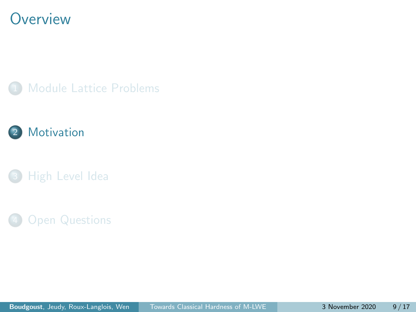#### <span id="page-22-0"></span>**Overview**







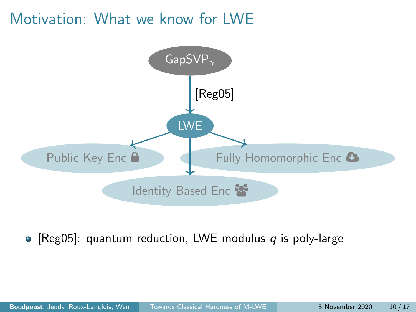#### Motivation: What we know for LWE



• [\[Reg05\]](#page-39-0): quantum reduction, LWE modulus  $q$  is poly-large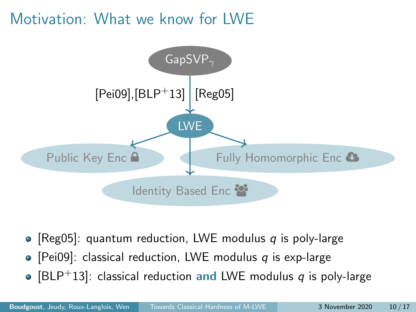## Motivation: What we know for LWE



- [\[Reg05\]](#page-39-0): quantum reduction, LWE modulus q is poly-large
- [\[Pei09\]](#page-38-1): classical reduction, LWE modulus q is exp-large
- [\[BLP](#page-38-2)<sup>+</sup>13]: classical reduction and LWE modulus q is poly-large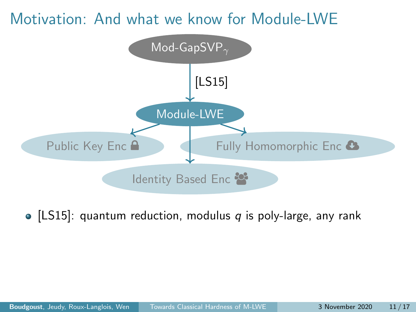#### Motivation: And what we know for Module-LWE



• [\[LS15\]](#page-38-3): quantum reduction, modulus  $q$  is poly-large, any rank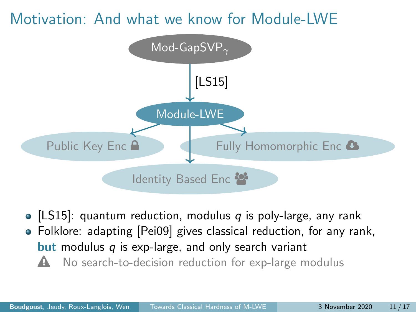#### Motivation: And what we know for Module-LWE



• [\[LS15\]](#page-38-3): quantum reduction, modulus  $q$  is poly-large, any rank Folklore: adapting [\[Pei09\]](#page-38-1) gives classical reduction, for any rank, **but** modulus  $q$  is exp-large, and only search variant  $\triangle$  No search-to-decision reduction for exp-large modulus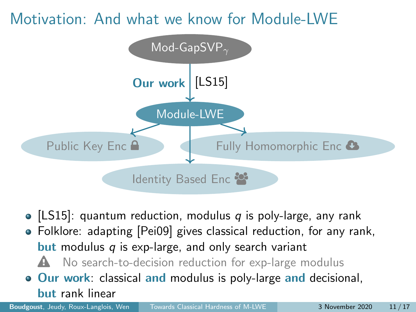## Motivation: And what we know for Module-LWE



- [\[LS15\]](#page-38-3): quantum reduction, modulus  $q$  is poly-large, any rank
- Folklore: adapting [\[Pei09\]](#page-38-1) gives classical reduction, for any rank, **but** modulus  $q$  is exp-large, and only search variant
	- $\triangle$  No search-to-decision reduction for exp-large modulus
- **Our work:** classical and modulus is poly-large and decisional, but rank linear

Boudgoust, Jeudy, Roux-Langlois, Wen [Towards Classical Hardness of M-LWE](#page-0-0) 3 November 2020 11/17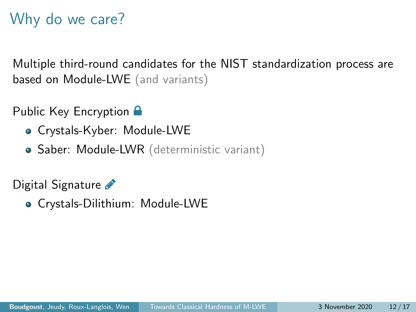# Why do we care?

Multiple third-round candidates for the NIST standardization process are based on Module-LWE (and variants)

Public Key Encryption **A** 

- Crystals-Kyber: Module-LWE
- Saber: Module-LWR (deterministic variant)

Digital Signature

Crystals-Dilithium: Module-LWE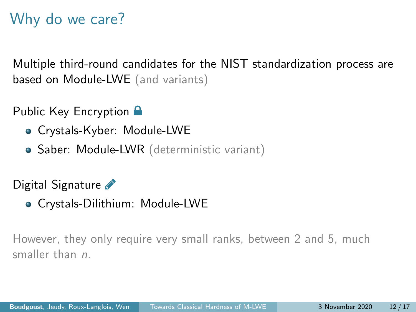# Why do we care?

Multiple third-round candidates for the NIST standardization process are based on Module-LWE (and variants)

Public Key Encryption **A** 

- Crystals-Kyber: Module-LWE
- Saber: Module-LWR (deterministic variant)

Digital Signature

Crystals-Dilithium: Module-LWE

However, they only require very small ranks, between 2 and 5, much smaller than *n*.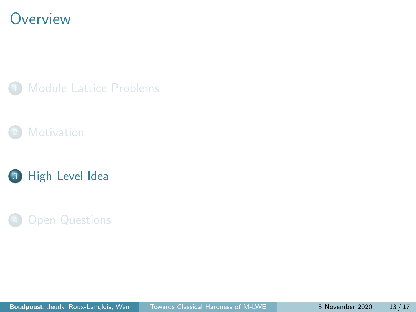#### <span id="page-30-0"></span>**Overview**







#### **[Open Questions](#page-35-0)**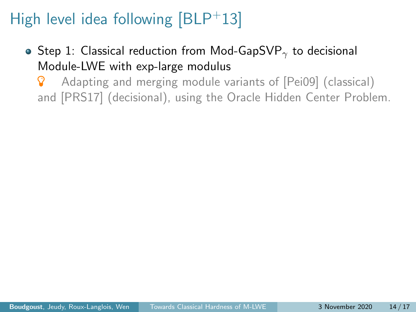# High level idea following  $[BLP+13]$  $[BLP+13]$

- Step 1: Classical reduction from Mod-GapSVP<sub> $\gamma$ </sub> to decisional Module-LWE with exp-large modulus
	- Adapting and merging module variants of [\[Pei09\]](#page-38-1) (classical) and [\[PRS17\]](#page-39-1) (decisional), using the Oracle Hidden Center Problem.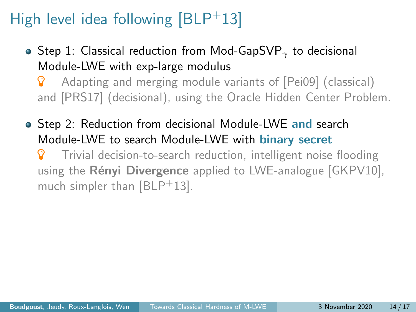# High level idea following  $[BLP+13]$  $[BLP+13]$

- Step 1: Classical reduction from Mod-GapSVP<sub> $\gamma$ </sub> to decisional Module-LWE with exp-large modulus
	- Adapting and merging module variants of [\[Pei09\]](#page-38-1) (classical) and [\[PRS17\]](#page-39-1) (decisional), using the Oracle Hidden Center Problem.
- Step 2: Reduction from decisional Module-LWE and search Module-LWE to search Module-LWE with binary secret
	- Trivial decision-to-search reduction, intelligent noise flooding using the Rényi Divergence applied to LWE-analogue [\[GKPV10\]](#page-38-4), much simpler than  $[BLP+13]$  $[BLP+13]$ .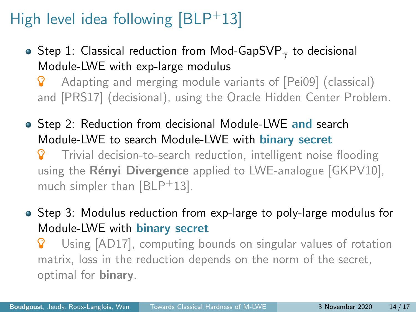# High level idea following  $[BLP+13]$  $[BLP+13]$

- Step 1: Classical reduction from Mod-GapSVP<sub> $\gamma$ </sub> to decisional Module-LWE with exp-large modulus
	- Adapting and merging module variants of [\[Pei09\]](#page-38-1) (classical) and [\[PRS17\]](#page-39-1) (decisional), using the Oracle Hidden Center Problem.
- Step 2: Reduction from decisional Module-LWE and search Module-LWE to search Module-LWE with binary secret
	- Trivial decision-to-search reduction, intelligent noise flooding using the Rényi Divergence applied to LWE-analogue [\[GKPV10\]](#page-38-4), much simpler than  $[BLP+13]$  $[BLP+13]$ .
- Step 3: Modulus reduction from exp-large to poly-large modulus for Module-LWE with binary secret
	- Using [\[AD17\]](#page-38-5), computing bounds on singular values of rotation matrix, loss in the reduction depends on the norm of the secret, optimal for binary.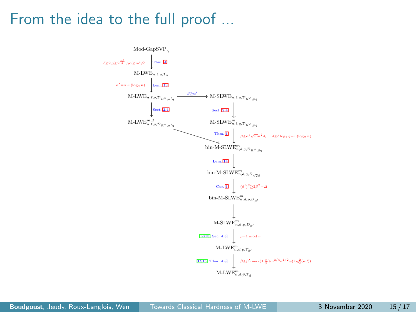#### From the idea to the full proof ...

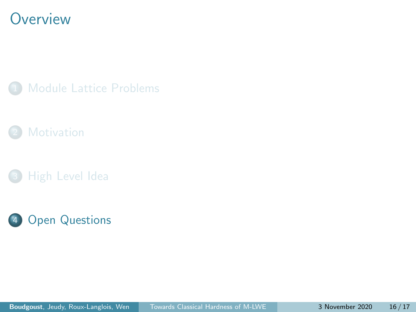#### <span id="page-35-0"></span>**Overview**

**[Module Lattice Problems](#page-8-0)** 



**[High Level Idea](#page-30-0)** 

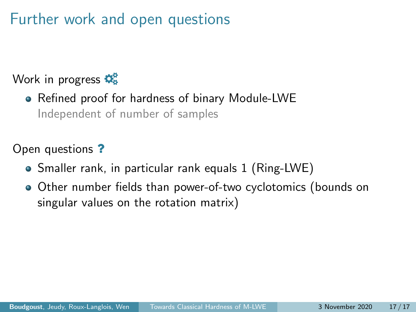## Further work and open questions

#### Work in progress  $\mathbf{\Phi}_{\mathbf{s}}^{\mathbf{s}}$

Refined proof for hardness of binary Module-LWE Independent of number of samples

Open questions ?

- Smaller rank, in particular rank equals 1 (Ring-LWE)
- Other number fields than power-of-two cyclotomics (bounds on singular values on the rotation matrix)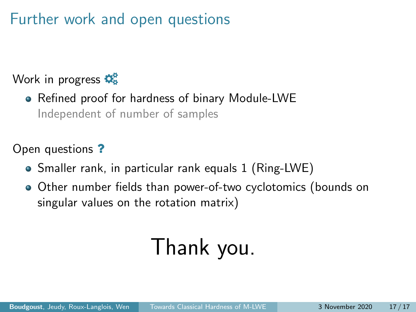## Further work and open questions

#### Work in progress  $\mathbf{\Phi}_{\mathbf{s}}^{\mathbf{s}}$

Refined proof for hardness of binary Module-LWE Independent of number of samples

Open questions ?

- Smaller rank, in particular rank equals 1 (Ring-LWE)
- Other number fields than power-of-two cyclotomics (bounds on singular values on the rotation matrix)

# Thank you.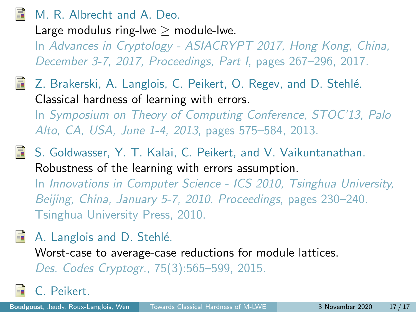#### <span id="page-38-5"></span><span id="page-38-0"></span>M. R. Albrecht and A. Deo.

Large modulus ring-lwe  $>$  module-lwe.

In Advances in Cryptology - ASIACRYPT 2017, Hong Kong, China, December 3-7, 2017, Proceedings, Part I, pages 267–296, 2017.

- <span id="page-38-2"></span>Z. Brakerski, A. Langlois, C. Peikert, O. Regev, and D. Stehlé. Classical hardness of learning with errors. In Symposium on Theory of Computing Conference, STOC'13, Palo Alto, CA, USA, June 1-4, 2013, pages 575–584, 2013.
- <span id="page-38-4"></span>S. Goldwasser, Y. T. Kalai, C. Peikert, and V. Vaikuntanathan. Robustness of the learning with errors assumption. In Innovations in Computer Science - ICS 2010, Tsinghua University,

Beijing, China, January 5-7, 2010. Proceedings, pages 230–240. Tsinghua University Press, 2010.

#### <span id="page-38-3"></span>A. Langlois and D. Stehlé.

Worst-case to average-case reductions for module lattices. Des. Codes Cryptogr., 75(3):565–599, 2015.

<span id="page-38-1"></span>C. Peikert.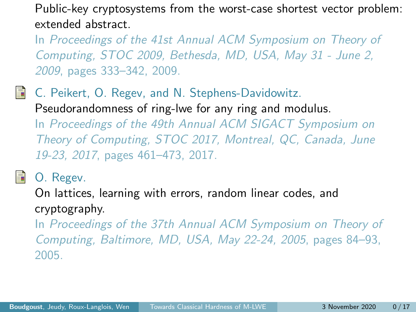Public-key cryptosystems from the worst-case shortest vector problem: extended abstract.

In Proceedings of the 41st Annual ACM Symposium on Theory of Computing, STOC 2009, Bethesda, MD, USA, May 31 - June 2, 2009, pages 333–342, 2009.

<span id="page-39-1"></span>量 C. Peikert, O. Regev, and N. Stephens-Davidowitz. Pseudorandomness of ring-lwe for any ring and modulus. In Proceedings of the 49th Annual ACM SIGACT Symposium on Theory of Computing, STOC 2017, Montreal, QC, Canada, June 19-23, 2017, pages 461–473, 2017.

<span id="page-39-0"></span>

O. Regev.

On lattices, learning with errors, random linear codes, and cryptography.

In Proceedings of the 37th Annual ACM Symposium on Theory of Computing, Baltimore, MD, USA, May 22-24, 2005, pages 84–93, 2005.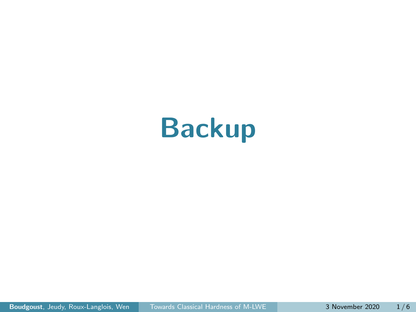# Backup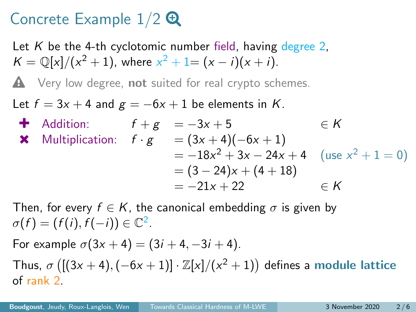# Concrete Example  $1/2$   $\Theta$

Let K be the 4-th cyclotomic number field, having degree 2.  $K = \mathbb{Q}[x]/(x^2 + 1)$ , where  $x^2 + 1 = (x - i)(x + i)$ .

 $\triangle$  Very low degree, not suited for real crypto schemes.

Let  $f = 3x + 4$  and  $g = -6x + 1$  be elements in K.

4 Addition:

\n
$$
f + g = -3x + 5 \qquad \in K
$$
\n4 Multiplication:

\n
$$
f \cdot g = (3x + 4)(-6x + 1)
$$
\n
$$
= -18x^{2} + 3x - 24x + 4 \quad (\text{use } x^{2} + 1 = 0)
$$
\n
$$
= (3 - 24)x + (4 + 18)
$$
\n
$$
= -21x + 22 \qquad \in K
$$

Then, for every  $f \in K$ , the canonical embedding  $\sigma$  is given by  $\sigma(f) = (f(i), f(-i)) \in \mathbb{C}^2$ .

For example  $\sigma(3x + 4) = (3i + 4, -3i + 4)$ . Thus,  $\sigma$  ([(3x + 4), (-6x + 1)]  $\cdot \mathbb{Z}[x]/(x^2+1)$ ) defines a module lattice of rank 2.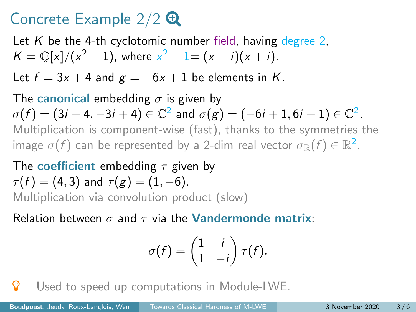## Concrete Example  $2/2$   $\Theta$

Let K be the 4-th cyclotomic number field, having degree 2,  $K = \mathbb{Q}[x]/(x^2 + 1)$ , where  $x^2 + 1 = (x - i)(x + i)$ .

Let  $f = 3x + 4$  and  $g = -6x + 1$  be elements in K.

The canonical embedding  $\sigma$  is given by  $\sigma(f)=(3i+4,-3i+4)\in \mathbb{C}^2$  and  $\sigma(g)=(-6i+1,6i+1)\in \mathbb{C}^2.$ Multiplication is component-wise (fast), thanks to the symmetries the image  $\sigma(f)$  can be represented by a 2-dim real vector  $\sigma_\mathbb{R}(f) \in \mathbb{R}^2.$ 

The coefficient embedding  $\tau$  given by  $\tau(f) = (4, 3)$  and  $\tau(g) = (1, -6)$ . Multiplication via convolution product (slow)

Relation between  $\sigma$  and  $\tau$  via the **Vandermonde matrix**:

$$
\sigma(f) = \begin{pmatrix} 1 & i \\ 1 & -i \end{pmatrix} \tau(f).
$$

**P** Used to speed up computations in Module-LWE.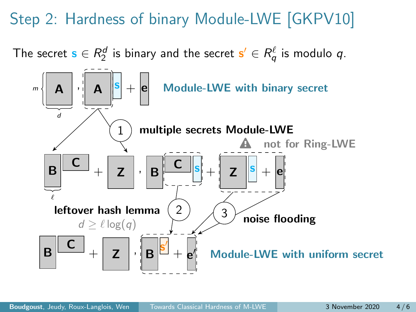# Step 2: Hardness of binary Module-LWE [\[GKPV10\]](#page-38-4)

The secret  $\mathbf{s} \in R_2^d$  is binary and the secret  $\mathbf{s}' \in R_q^\ell$  is modulo  $q.$ 

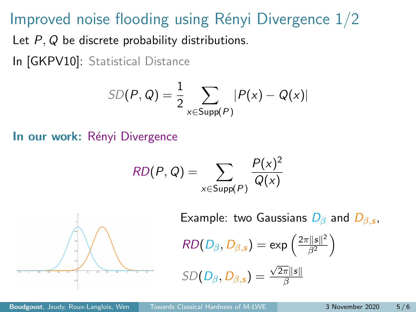#### Improved noise flooding using Rényi Divergence  $1/2$

Let P, Q be discrete probability distributions.

In [\[GKPV10\]](#page-38-4): Statistical Distance

$$
SD(P, Q) = \frac{1}{2} \sum_{x \in \text{Supp}(P)} |P(x) - Q(x)|
$$

In our work: Rényi Divergence

$$
RD(P,Q) = \sum_{x \in \text{Supp}(P)} \frac{P(x)^2}{Q(x)}
$$



Example: two Gaussians  $D_{\beta}$  and  $D_{\beta,s}$ ,

$$
RD(D_{\beta}, D_{\beta,s}) = \exp\left(\frac{2\pi ||s||^2}{\beta^2}\right)
$$

$$
SD(D_{\beta}, D_{\beta,s}) = \frac{\sqrt{2\pi} \|s\|}{\beta}
$$